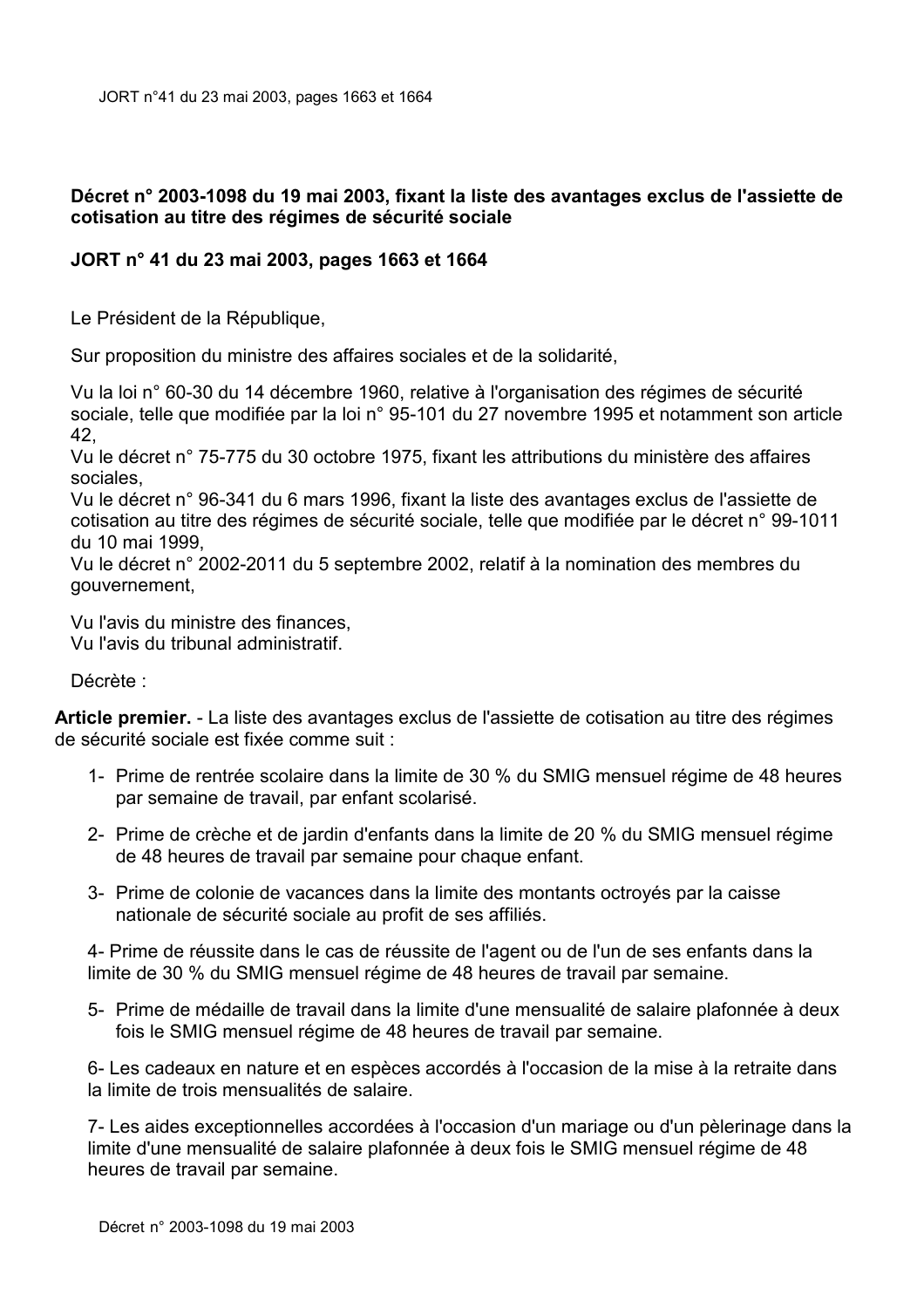## Décret n° 2003-1098 du 19 mai 2003, fixant la liste des avantages exclus de l'assiette de cotisation au titre des régimes de sécurité sociale

## JORT n° 41 du 23 mai 2003, pages 1663 et 1664

Le Président de la République.

Sur proposition du ministre des affaires sociales et de la solidarité,

Vu la loi n° 60-30 du 14 décembre 1960, relative à l'organisation des régimes de sécurité sociale, telle que modifiée par la loi n° 95-101 du 27 novembre 1995 et notamment son article 42.

Vu le décret n° 75-775 du 30 octobre 1975, fixant les attributions du ministère des affaires sociales.

Vu le décret n° 96-341 du 6 mars 1996, fixant la liste des avantages exclus de l'assiette de cotisation au titre des régimes de sécurité sociale, telle que modifiée par le décret n° 99-1011 du 10 mai 1999.

Vu le décret n° 2002-2011 du 5 septembre 2002, relatif à la nomination des membres du gouvernement,

Vu l'avis du ministre des finances.

Vu l'avis du tribunal administratif.

Décrète :

Article premier. - La liste des avantages exclus de l'assiette de cotisation au titre des régimes de sécurité sociale est fixée comme suit :

- 1- Prime de rentrée scolaire dans la limite de 30 % du SMIG mensuel régime de 48 heures par semaine de travail, par enfant scolarisé.
- 2- Prime de crèche et de jardin d'enfants dans la limite de 20 % du SMIG mensuel régime de 48 heures de travail par semaine pour chaque enfant.
- 3- Prime de colonie de vacances dans la limite des montants octrovés par la caisse nationale de sécurité sociale au profit de ses affiliés.

4- Prime de réussite dans le cas de réussite de l'agent ou de l'un de ses enfants dans la limite de 30 % du SMIG mensuel régime de 48 heures de travail par semaine.

5- Prime de médaille de travail dans la limite d'une mensualité de salaire plafonnée à deux fois le SMIG mensuel régime de 48 heures de travail par semaine.

6- Les cadeaux en nature et en espèces accordés à l'occasion de la mise à la retraite dans la limite de trois mensualités de salaire.

7- Les aides exceptionnelles accordées à l'occasion d'un mariage ou d'un pèlerinage dans la limite d'une mensualité de salaire plafonnée à deux fois le SMIG mensuel régime de 48 heures de travail par semaine.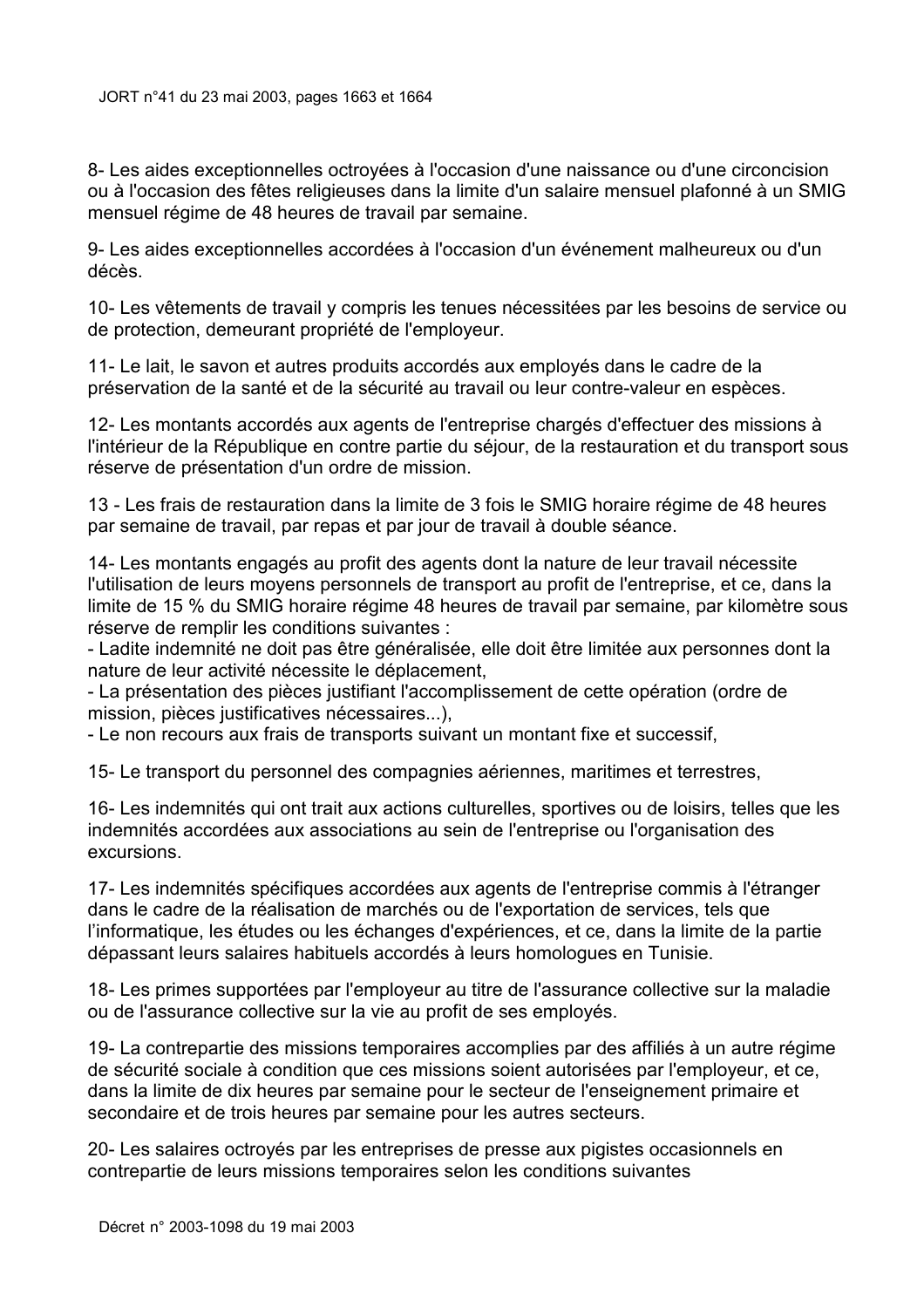8- Les aides exceptionnelles octroyées à l'occasion d'une naissance ou d'une circoncision ou à l'occasion des fêtes religieuses dans la limite d'un salaire mensuel plafonné à un SMIG mensuel régime de 48 heures de travail par semaine.

9- Les aides exceptionnelles accordées à l'occasion d'un événement malheureux ou d'un décès

10- Les vêtements de travail y compris les tenues nécessitées par les besoins de service ou de protection, demeurant propriété de l'employeur.

11- Le lait, le savon et autres produits accordés aux emplovés dans le cadre de la préservation de la santé et de la sécurité au travail ou leur contre-valeur en espèces.

12- Les montants accordés aux agents de l'entreprise chargés d'effectuer des missions à l'intérieur de la République en contre partie du séjour, de la restauration et du transport sous réserve de présentation d'un ordre de mission.

13 - Les frais de restauration dans la limite de 3 fois le SMIG horaire régime de 48 heures par semaine de travail, par repas et par jour de travail à double séance.

14- Les montants engagés au profit des agents dont la nature de leur travail nécessite l'utilisation de leurs moyens personnels de transport au profit de l'entreprise, et ce, dans la limite de 15 % du SMIG horaire régime 48 heures de travail par semaine, par kilomètre sous réserve de remplir les conditions suivantes :

- Ladite indemnité ne doit pas être généralisée, elle doit être limitée aux personnes dont la nature de leur activité nécessite le déplacement,

- La présentation des pièces justifiant l'accomplissement de cette opération (ordre de mission, pièces justificatives nécessaires...).

- Le non recours aux frais de transports suivant un montant fixe et successif,

15- Le transport du personnel des compagnies aériennes, maritimes et terrestres,

16- Les indemnités qui ont trait aux actions culturelles, sportives ou de loisirs, telles que les indemnités accordées aux associations au sein de l'entreprise ou l'organisation des excursions.

17- Les indemnités spécifiques accordées aux agents de l'entreprise commis à l'étranger dans le cadre de la réalisation de marchés ou de l'exportation de services, tels que l'informatique, les études ou les échanges d'expériences, et ce, dans la limite de la partie dépassant leurs salaires habituels accordés à leurs homologues en Tunisie.

18- Les primes supportées par l'employeur au titre de l'assurance collective sur la maladie ou de l'assurance collective sur la vie au profit de ses employés.

19-La contrepartie des missions temporaires accomplies par des affiliés à un autre régime de sécurité sociale à condition que ces missions soient autorisées par l'employeur, et ce, dans la limite de dix heures par semaine pour le secteur de l'enseignement primaire et secondaire et de trois heures par semaine pour les autres secteurs.

20- Les salaires octrovés par les entreprises de presse aux pigistes occasionnels en contrepartie de leurs missions temporaires selon les conditions suivantes